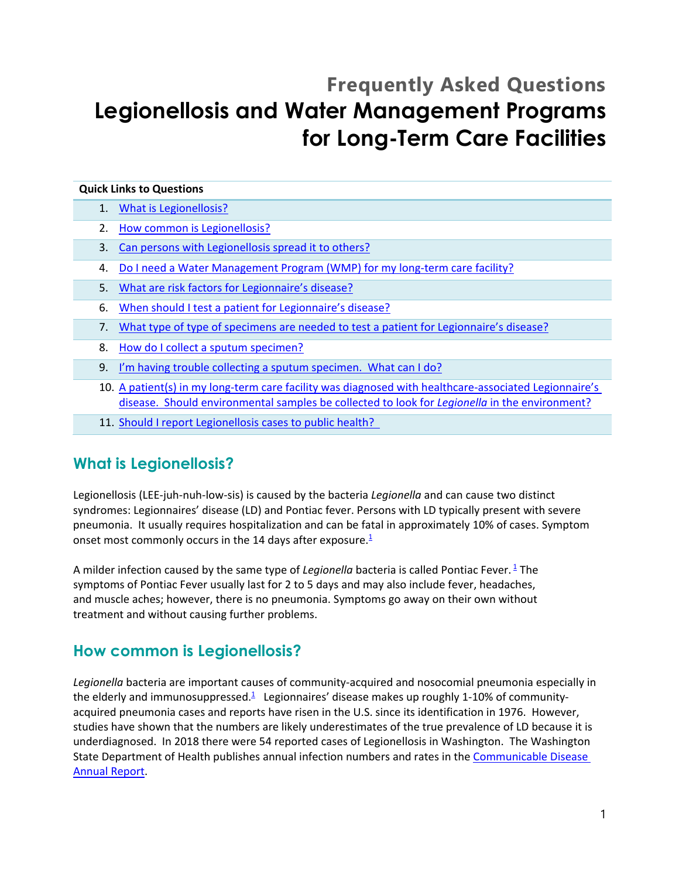# **Frequently Asked Questions Legionellosis and Water Management Programs for Long-Term Care Facilities**

#### **Quick Links to Questions**

- 1. [What is Legionellosis?](#page-0-0)
- 2. [How common is Legionellosis?](#page-0-1)
- 3. [Can persons with Legionellosis spread it to others?](#page-1-0)
- 4. [Do I need a Water Management Program \(WMP\) for my long-term care facility?](#page-1-0)
- 5. [What are risk factors for Legionnaire's disease?](#page-1-1)
- 6. [When should I test a patient for](#page-2-0) Legionnaire's disease?
- 7. [What type of type of specimens are needed to test a](#page-2-1) patient for Legionnaire's disease?
- 8. [How do I collect a sputum specimen?](#page-2-2)
- 9. [I'm having trouble collecting a sputum specimen. What can I do?](#page-4-0)
- 10. A patient(s) in my long-term care facility was [diagnosed with healthcare-associated Legionnaire's](#page-5-0)  [disease. Should environmental samples](#page-5-0) be collected to look for *Legionella* in the environment?
- 11. Should I report Legionellosis cases to public health?

### <span id="page-0-0"></span>**What is Legionellosis?**

Legionellosis (LEE-juh-nuh-low-sis) is caused by the bacteria *Legionella* and can cause two distinct syndromes: Legionnaires' disease (LD) and Pontiac fever. Persons with LD typically present with severe pneumonia. It usually requires hospitalization and can be fatal in approximately 10% of cases. Symptom onset most commonly occurs in the 14 days after exposure[.](#page-5-2)<sup>1</sup>

A milder infection caused by the same type of *Legionella* bacteria is called Pontiac Fever.<sup>[1](#page-5-2)</sup> The symptoms of Pontiac Fever usually last for 2 to 5 days and may also include fever, headaches, and muscle aches; however, there is no pneumonia. Symptoms go away on their own without treatment and without causing further problems.

### <span id="page-0-1"></span>**How common is Legionellosis?**

*Legionella* bacteria are important causes of community-acquired and nosocomial pneumonia especially in theelderly and immunosuppressed.<sup>1</sup> Legionnaires' disease makes up roughly 1-10% of communityacquired pneumonia cases and reports have risen in the U.S. since its identification in 1976. However, studies have shown that the numbers are likely underestimates of the true prevalence of LD because it is underdiagnosed. In 2018 there were 54 reported cases of Legionellosis in Washington. The Washington State Department of Health publishes annual infection numbers and rates in the [Communicable Disease](https://www.doh.wa.gov/Portals/1/Documents/5100/420-004-CDAnnualReportIncidenceRates.pdf#nameddest=legionella)  [Annual Report.](https://www.doh.wa.gov/Portals/1/Documents/5100/420-004-CDAnnualReportIncidenceRates.pdf#nameddest=legionella)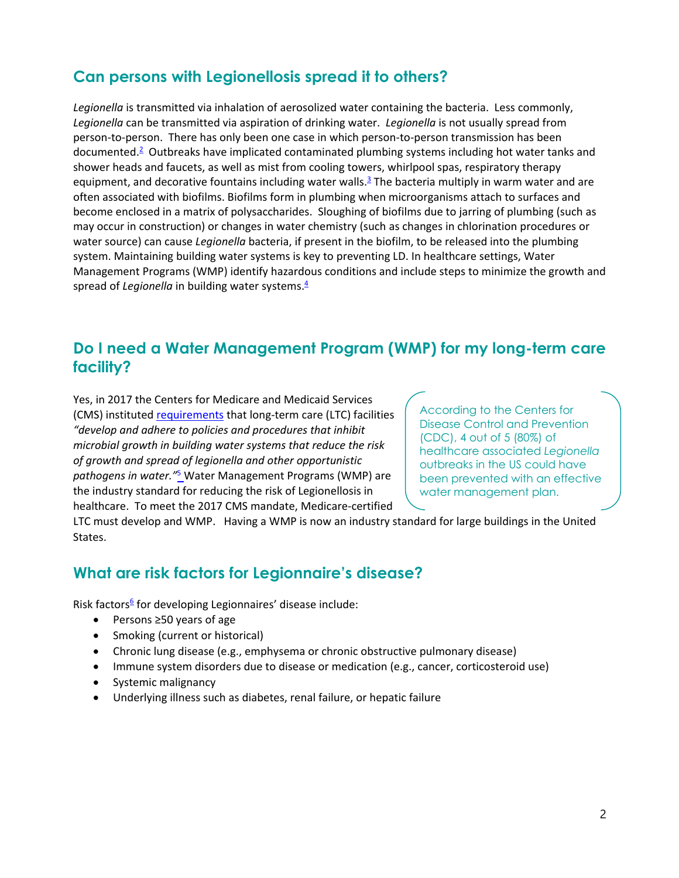### **Can persons with Legionellosis spread it to others?**

*Legionella* is transmitted via inhalation of aerosolized water containing the bacteria. Less commonly, *Legionella* can be transmitted via aspiration of drinking water. *Legionella* is not usually spread from person-to-person. There has only been one case in which person-to-person transmission has been documented.<sup>2</sup>Outbreaks have implicated contaminated plumbing systems including hot water tanks and shower heads and faucets, as well as mist from cooling towers, whirlpool spas, respiratory therapy equipment, and decorative fountains including water walls. $3$  The bacteria multiply in warm water and are often associated with biofilms. Biofilms form in plumbing when microorganisms attach to surfaces and become enclosed in a matrix of polysaccharides. Sloughing of biofilms due to jarring of plumbing (such as may occur in construction) or changes in water chemistry (such as changes in chlorination procedures or water source) can cause *Legionella* bacteria, if present in the biofilm, to be released into the plumbing system. Maintaining building water systems is key to preventing LD. In healthcare settings, Water Management Programs (WMP) identify hazardous conditions and include steps to minimize the growth and spread of *Legionella* in building water systems.<sup>4</sup>

#### <span id="page-1-0"></span>**Do I need a Water Management Program (WMP) for my long-term care facility?**

Yes, in 2017 the Centers for Medicare and Medicaid Services (CMS) instituted [requirements](https://www.cms.gov/Medicare/Provider-Enrollment-and-Certification/SurveyCertificationGenInfo/Downloads/Survey-and-Cert-Letter-17-30.pdf) that long-term care (LTC) facilities *"develop and adhere to policies and procedures that inhibit microbial growth in building water systems that reduce the risk of growth and spread of legionella and other opportunistic pathogens in water."*[5](#page-5-6) Water Management Programs (WMP) are the industry standard for reducing the risk of Legionellosis in healthcare. To meet the 2017 CMS mandate, Medicare-certified

According to the Centers for Disease Control and Prevention (CDC), 4 out of 5 (80%) of healthcare associated *Legionella*  outbreaks in the US could have been prevented with an effective water management plan.

LTC must develop and WMP. Having a WMP is now an industry standard for large buildings in the United States.

#### <span id="page-1-1"></span>**What are risk factors for Legionnaire's disease?**

Risk factors<sup>6</sup> for developing Legionnaires' disease include:

- Persons ≥50 years of age
- Smoking (current or historical)
- Chronic lung disease (e.g., emphysema or chronic obstructive pulmonary disease)
- Immune system disorders due to disease or medication (e.g., cancer, corticosteroid use)
- Systemic malignancy
- Underlying illness such as diabetes, renal failure, or hepatic failure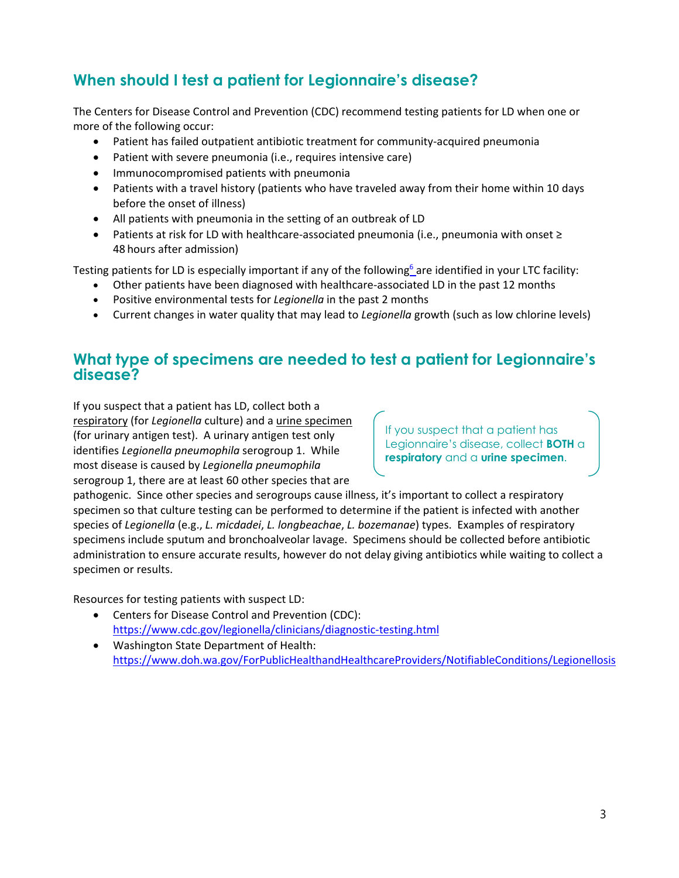# <span id="page-2-0"></span>**When should I test a patient for Legionnaire's disease?**

The Centers for Disease Control and Prevention (CDC) recommend testing patients for LD when one or more of the following occur:

- Patient has failed outpatient antibiotic treatment for community-acquired pneumonia
- Patient with severe pneumonia (i.e., requires intensive care)
- Immunocompromised patients with pneumonia
- Patients with a travel history (patients who have traveled away from their home within 10 days before the onset of illness)
- All patients with pneumonia in the setting of an outbreak of LD
- Patients at risk for LD with healthcare-associated pneumonia (i.e., pneumonia with onset ≥ 48 hours after admission)

Testing patients for LD is especially important if any of the following<sup>6</sup> are identified in your LTC facility:

- Other patients have been diagnosed with healthcare-associated LD in the past 12 months
- Positive environmental tests for *Legionella* in the past 2 months
- Current changes in water quality that may lead to *Legionella* growth (such as low chlorine levels)

#### <span id="page-2-1"></span>**What type of specimens are needed to test a patient for Legionnaire's disease?**

If you suspect that a patient has LD, collect both a respiratory (for *Legionella* culture) and a urine specimen (for urinary antigen test). A urinary antigen test only identifies *Legionella pneumophila* serogroup 1. While most disease is caused by *Legionella pneumophila* serogroup 1, there are at least 60 other species that are

If you suspect that a patient has Legionnaire's disease, collect **BOTH** a **respiratory** and a **urine specimen**.

pathogenic. Since other species and serogroups cause illness, it's important to collect a respiratory specimen so that culture testing can be performed to determine if the patient is infected with another species of *Legionella* (e.g., *L. micdadei*, *L. longbeachae*, *L. bozemanae*) types. Examples of respiratory specimens include sputum and bronchoalveolar lavage. Specimens should be collected before antibiotic administration to ensure accurate results, however do not delay giving antibiotics while waiting to collect a specimen or results.

Resources for testing patients with suspect LD:

- Centers for Disease Control and Prevention (CDC): <https://www.cdc.gov/legionella/clinicians/diagnostic-testing.html>
- <span id="page-2-2"></span>• Washington State Department of Health: <https://www.doh.wa.gov/ForPublicHealthandHealthcareProviders/NotifiableConditions/Legionellosis>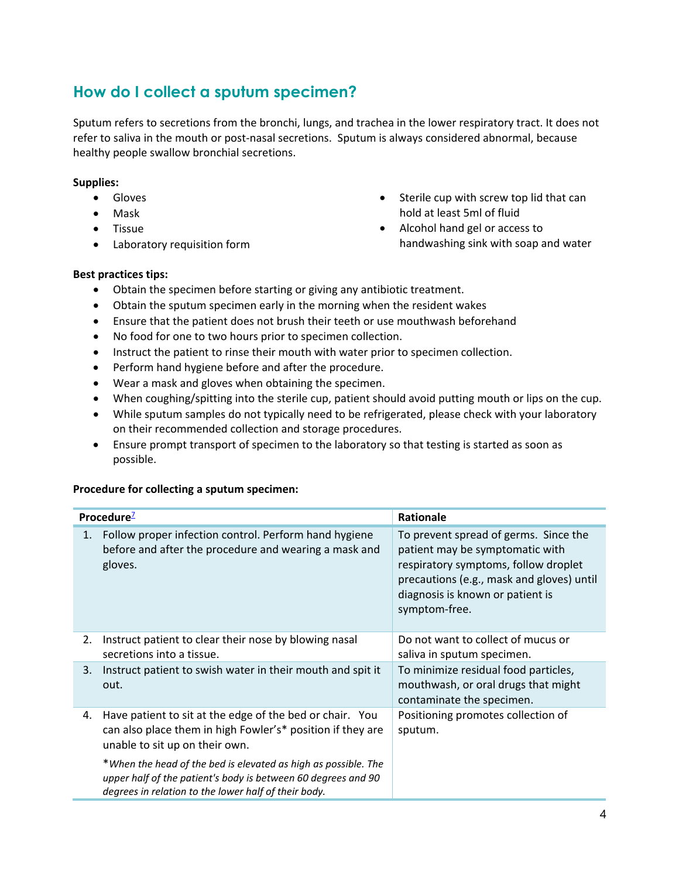## **How do I collect a sputum specimen?**

Sputum refers to secretions from the bronchi, lungs, and trachea in the lower respiratory tract. It does not refer to saliva in the mouth or post-nasal secretions. Sputum is always considered abnormal, because healthy people swallow bronchial secretions.

• Sterile cup with screw top lid that can

handwashing sink with soap and water

hold at least 5ml of fluid • Alcohol hand gel or access to

#### **Supplies:**

- Gloves
- Mask
- Tissue
- Laboratory requisition form

#### **Best practices tips:**

- Obtain the specimen before starting or giving any antibiotic treatment.
- Obtain the sputum specimen early in the morning when the resident wakes
- Ensure that the patient does not brush their teeth or use mouthwash beforehand
- No food for one to two hours prior to specimen collection.
- Instruct the patient to rinse their mouth with water prior to specimen collection.
- Perform hand hygiene before and after the procedure.
- Wear a mask and gloves when obtaining the specimen.
- When coughing/spitting into the sterile cup, patient should avoid putting mouth or lips on the cup.
- While sputum samples do not typically need to be refrigerated, please check with your laboratory on their recommended collection and storage procedures.
- Ensure prompt transport of specimen to the laboratory so that testing is started as soon as possible.

#### **Procedure for collecting a sputum specimen:**

| Procedure <sup>2</sup> |                                                                                                                                                                                         | Rationale                                                                                                                                                                                                          |
|------------------------|-----------------------------------------------------------------------------------------------------------------------------------------------------------------------------------------|--------------------------------------------------------------------------------------------------------------------------------------------------------------------------------------------------------------------|
| 1.                     | Follow proper infection control. Perform hand hygiene<br>before and after the procedure and wearing a mask and<br>gloves.                                                               | To prevent spread of germs. Since the<br>patient may be symptomatic with<br>respiratory symptoms, follow droplet<br>precautions (e.g., mask and gloves) until<br>diagnosis is known or patient is<br>symptom-free. |
| 2.                     | Instruct patient to clear their nose by blowing nasal<br>secretions into a tissue.                                                                                                      | Do not want to collect of mucus or<br>saliva in sputum specimen.                                                                                                                                                   |
| 3.                     | Instruct patient to swish water in their mouth and spit it<br>out.                                                                                                                      | To minimize residual food particles,<br>mouthwash, or oral drugs that might<br>contaminate the specimen.                                                                                                           |
| 4.                     | Have patient to sit at the edge of the bed or chair. You<br>can also place them in high Fowler's* position if they are<br>unable to sit up on their own.                                | Positioning promotes collection of<br>sputum.                                                                                                                                                                      |
|                        | *When the head of the bed is elevated as high as possible. The<br>upper half of the patient's body is between 60 degrees and 90<br>degrees in relation to the lower half of their body. |                                                                                                                                                                                                                    |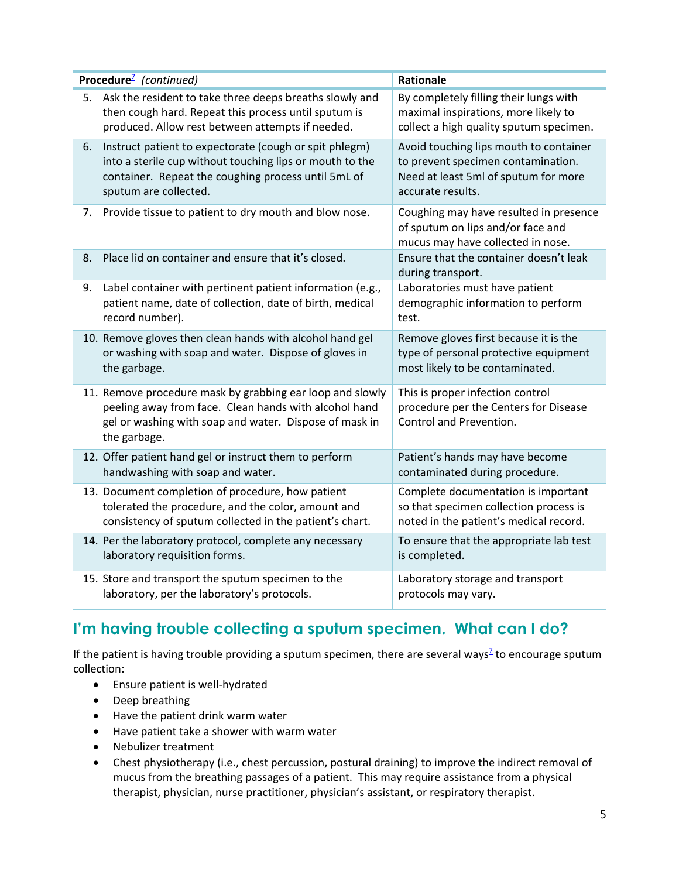| Procedure <sup>7</sup> (continued) |                                                                                                                                                                                                    | Rationale                                                                                                                                 |
|------------------------------------|----------------------------------------------------------------------------------------------------------------------------------------------------------------------------------------------------|-------------------------------------------------------------------------------------------------------------------------------------------|
| 5.                                 | Ask the resident to take three deeps breaths slowly and<br>then cough hard. Repeat this process until sputum is<br>produced. Allow rest between attempts if needed.                                | By completely filling their lungs with<br>maximal inspirations, more likely to<br>collect a high quality sputum specimen.                 |
| 6.                                 | Instruct patient to expectorate (cough or spit phlegm)<br>into a sterile cup without touching lips or mouth to the<br>container. Repeat the coughing process until 5mL of<br>sputum are collected. | Avoid touching lips mouth to container<br>to prevent specimen contamination.<br>Need at least 5ml of sputum for more<br>accurate results. |
| 7.                                 | Provide tissue to patient to dry mouth and blow nose.                                                                                                                                              | Coughing may have resulted in presence<br>of sputum on lips and/or face and<br>mucus may have collected in nose.                          |
| 8.                                 | Place lid on container and ensure that it's closed.                                                                                                                                                | Ensure that the container doesn't leak<br>during transport.                                                                               |
| 9.                                 | Label container with pertinent patient information (e.g.,<br>patient name, date of collection, date of birth, medical<br>record number).                                                           | Laboratories must have patient<br>demographic information to perform<br>test.                                                             |
|                                    | 10. Remove gloves then clean hands with alcohol hand gel<br>or washing with soap and water. Dispose of gloves in<br>the garbage.                                                                   | Remove gloves first because it is the<br>type of personal protective equipment<br>most likely to be contaminated.                         |
|                                    | 11. Remove procedure mask by grabbing ear loop and slowly<br>peeling away from face. Clean hands with alcohol hand<br>gel or washing with soap and water. Dispose of mask in<br>the garbage.       | This is proper infection control<br>procedure per the Centers for Disease<br>Control and Prevention.                                      |
|                                    | 12. Offer patient hand gel or instruct them to perform<br>handwashing with soap and water.                                                                                                         | Patient's hands may have become<br>contaminated during procedure.                                                                         |
|                                    | 13. Document completion of procedure, how patient<br>tolerated the procedure, and the color, amount and<br>consistency of sputum collected in the patient's chart.                                 | Complete documentation is important<br>so that specimen collection process is<br>noted in the patient's medical record.                   |
|                                    | 14. Per the laboratory protocol, complete any necessary<br>laboratory requisition forms.                                                                                                           | To ensure that the appropriate lab test<br>is completed.                                                                                  |
|                                    | 15. Store and transport the sputum specimen to the<br>laboratory, per the laboratory's protocols.                                                                                                  | Laboratory storage and transport<br>protocols may vary.                                                                                   |

# <span id="page-4-0"></span>**I'm having trouble collecting a sputum specimen. What can I do?**

If the patient is having trouble providing a sputum specimen, there are several ways<sup> $2$ </sup> to encourage sputum collection:

- Ensure patient is well-hydrated
- Deep breathing
- Have the patient drink warm water
- Have patient take a shower with warm water
- Nebulizer treatment
- Chest physiotherapy (i.e., chest percussion, postural draining) to improve the indirect removal of mucus from the breathing passages of a patient. This may require assistance from a physical therapist, physician, nurse practitioner, physician's assistant, or respiratory therapist.